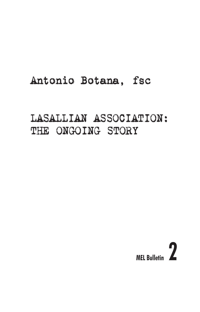# Antonio Botana, fsc

# LASALLIAN ASSOCIATION: THE ONGOING STORY

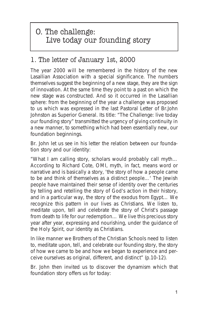# O. The challenge: Live today our founding story

### 1. The letter of January 1st, 2000

The year 2000 will be remembered in the history of the new Lasallian Association with a special significance. The numbers themselves suggest the beginning of a new stage, they are the sign of innovation. At the same time they point to a past on which the new stage was constructed. And so it occurred in the Lasallian sphere: from the beginning of the year a challenge was proposed to us which was expressed in the last Pastoral Letter of Br.John Johnston as Superior General. Its title: *"The Challenge: live today our founding story"* transmitted the urgency of giving continuity in a new manner, to something which had been essentially new, our foundation beginnings.

Br. John let us see in his letter the relation between our foundation story and our identity:

"What I am calling *story*, scholars would probably call myth… According to Richard Cote, OMI, myth, in fact, means word or narrative and is basically a story, 'the story of how a people came to *be* and *think* of themselves as a distinct people…' The Jewish people have maintained their sense of identity over the centuries by telling and retelling the story of God's action in their history, and in a particular way, the story of the exodus from Egypt… We recognize this pattern in our lives as Christians. We listen to, meditate upon, tell and celebrate the story of Christ's passage from death to life for our redemption… We live this precious story year after year, expressing and nourishing, under the guidance of the Holy Spirit, our identity as Christians.

In like manner we Brothers of the Christian Schools need to listen to, meditate upon, tell, and celebrate our founding story, the story of how we came to be and how we began to experience and perceive ourselves as original, different, and distinct" (p.10-12).

Br. John then invited us to discover the dynamism which that foundation story offers us for today: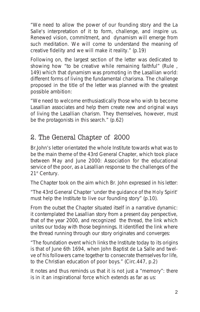"We need to allow the power of our founding story and the La Salle's interpretation of it to form, challenge, and inspire us. Renewed vision, commitment, and dynamism will emerge from such meditation. We will come to understand the meaning of creative fidelity and we will make it reality." (p.19)

Following on, the largest section of the letter was dedicated to showing how "to be creative while remaining faithful" (Rule , 149) which that dynamism was promoting in the Lasallian world: different forms of living the fundamental charisma. The challenge proposed in the title of the letter was planned with the greatest possible ambition:

"We need to welcome enthusiastically those who wish to become Lasallian associates and help them create new and original ways of living the Lasallian charism. They themselves, however, must be the protagonists in this search." (p.62)

### 2. The General Chapter of 2000

Br.John's letter orientated the whole Institute towards what was to be the main theme of the 43rd General Chapter, which took place between May and June 2000: *Association for the educational service of the poor, as a Lasallian response to the challenges of the 21st Century.*

The Chapter took on the aim which Br. John expressed in his letter:

"The 43rd General Chapter 'under the guidance of the Holy Spirit' must help the Institute *to live our founding story*" (p.10).

From the outset the Chapter situated itself in a narrative dynamic: it contemplated the Lasallian story from a present day perspective, that of the year 2000, and recognized the thread, the link which unites our today with those beginnings. It identified the link where the thread running through our story originates and converges:

"The foundation event which links the Institute today to its origins is that of June 6th 1694, when John Baptist de La Salle and twelve of his followers came together to consecrate themselves for life, to the Christian education of poor boys." (Circ.447, p.2)

It notes and thus reminds us that it is not just a "memory": there is in it an inspirational force which extends as far as us: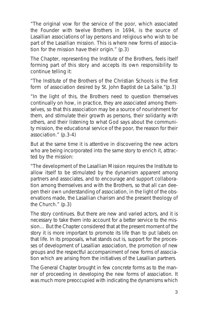"The original vow for the service of the poor, which associated the Founder with twelve Brothers in 1694, is the source of Lasallian associations of lay persons and religious who wish to be part of the Lasallian mission. This is where new forms of association for the mission have their origin." (p.3)

The Chapter, representing the Institute of the Brothers, feels itself forming part of this story and accepts its own responsibility to continue telling it:

"The Institute of the Brothers of the Christian Schools is the first form of association desired by St. John Baptist de La Salle."(p.3)

"In the light of this, the Brothers need to question themselves continually on how, in practice, they are associated among themselves, so that this association may be a source of nourishment for them, and stimulate their growth as persons, their solidarity with others, and their listening to what God says about the community mission, the educational service of the poor, the reason for their association." (p.3-4)

But at the same time it is attentive in discovering the new actors who are being incorporated into the same story to enrich it, attracted by the mission:

"The development of the Lasallian Mission requires the Institute to allow itself to be stimulated by the dynamism apparent among partners and associates, and to encourage and support collaboration among themselves and with the Brothers, so that all can deepen their own understanding of association, in the light of the observations made, the Lasallian charism and the present theology of the Church." (p.3)

The story continues. But there are new and varied actors, and it is necessary to take them into account for a better service to the mission… But the Chapter considered that at the present moment of the story it is more important to promote its life than to put labels on that life. In its proposals, what stands out is, support for the processes of development of Lasallian association, the promotion of new groups and the respectful accompaniment of new forms of association which are arising from the initiatives of the Lasallian partners.

The General Chapter brought in few concrete forms as to the manner of proceeding in developing the new forms of association. It was much more preoccupied with indicating the dynamisms which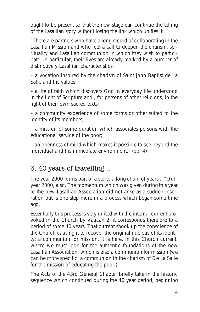ought to be present so that the new stage can continue the telling of the Lasallian story without losing the link which unifies it.

"There are partners who have a long record of collaborating in the Lasallian Mission and who feel a call to deepen the charism, spirituality and Lasallian communion in which they wish to participate. In particular, their lives are already marked by a number of distinctively Lasallian characteristics:

– a vocation inspired by the charism of Saint John Baptist de La Salle and his values;

– a life of faith which discovers God in everyday life understood in the light of Scripture and , for persons of other religions, in the light of their own sacred texts;

– a community experience of some forms or other suited to the identity of its members;

– a mission of some duration which associates persons with the educational service of the poor;

– an openness of mind which makes it possible to see beyond the individual and his immediate environment." (pp. 4)

### 3. 40 years of travelling…

The year 2000 forms part of a story, a long chain of years... "Our" year 2000, also. The momentum which was given during this year to the new Lasallian Association did not arise as a sudden inspiration but is one step more in a process which began some time ago.

Essentially this process is very united with the internal current provoked in the Church by Vatican 2; it corresponds therefore to a period of some 40 years. That current shook up the conscience of the Church causing it to recover the original nucleus of its identity: *a communion for mission*. It is here, in this Church current, where we must look for the authentic foundations of the new Lasallian Association, which is also a communion for mission *(*we can be more specific: *a communion in the charism of De La Salle for the mission of educating the poor.*)

The Acts of the 43rd General Chapter briefly take in the historic sequence which continued during the 40 year period, beginning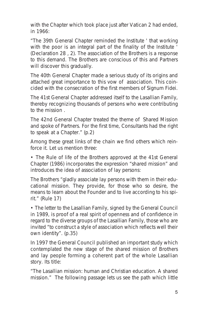with the Chapter which took place just after Vatican 2 had ended, in 1966:

"The 39th General Chapter reminded the Institute ' that working with the poor is an integral part of the finality of the Institute ' (Declaration 28 , 2). The association of the Brothers is a response to this demand. The Brothers are conscious of this and Partners will discover this gradually.

The 40th General Chapter made a serious study of its origins and attached great importance to this vow of association. This coincided with the consecration of the first members of Signum Fidei.

The 41st General Chapter addressed itself to the Lasallian Family, thereby recognizing thousands of persons who were contributing to the mission .

The 42nd General Chapter treated the theme of Shared Mission and spoke of Partners. For the first time, Consultants had the right to speak at a Chapter." (p.2)

Among these great links of the chain we find others which reinforce it. Let us mention three:

• The Rule of life of the Brothers approved at the 41st General Chapter (1986) incorporates the expression "shared mission" and introduces the idea of association of lay persons:

The Brothers "*gladly associate lay persons with them in their educational mission. They provide, for those who so desire, the means to learn about the Founder and to live according to his spirit.*" (Rule 17)

• The letter to the Lasallian Family, signed by the General Council in 1989, is proof of a real spirit of openness and of confidence in regard to the diverse groups of the Lasallian Family, those who are invited "to construct a style of association which reflects well their own identity". (p.35)

In 1997 the General Council published an important study which contemplated the new stage of the shared mission of Brothers and lay people forming a coherent part of the whole Lasallian story. Its title:

"*The Lasallian mission: human and Christian education. A shared mission.*" The following passage lets us see the path which little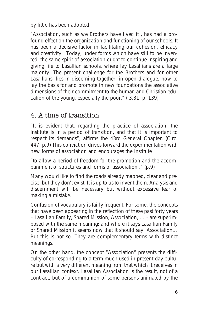by little has been adopted:

"Association, such as we Brothers have lived it , has had a profound effect on the organization and functioning of our schools. It has been a decisive factor in facilitating our cohesion, efficacy and creativity. Today, under forms which have still to be invented, the same spirit of association ought to continue inspiring and giving life to Lasallian schools, where lay Lasallians are a large majority. The present challenge for the Brothers and for other Lasallians, lies in discerning together, in open dialogue, how to lay the basis for and promote in new foundations the associative dimensions of their commitment to the human and Christian education of the young, especially the poor." ( 3.31. p. 139)

### 4. A time of transition

"*It is evident that, regarding the practice of association, the Institute is in a period of transition, and that it is important to respect its demands*", affirms the 43rd General Chapter. (Circ. 447, p.9) This conviction drives forward the experimentation with new forms of association and encourages the Institute

"to allow a period of freedom for the promotion and the accompaniment of structures and forms of association ." (p.9)

Many would like to find the roads already mapped, clear and precise; but they don't exist. It is up to us to invent them. Analysis and discernment will be necessary but without excessive fear of making a mistake.

Confusion of vocabulary is fairly frequent. For some, the concepts that have been appearing in the reflection of these past forty years – *Lasallian Family, Shared Mission, Association*, … - are superimposed with the same meaning; and where it says Lasallian Family or Shared Mission it seems now that it should *say Association*… But this is not so. They are complementary terms with distinct meanings.

On the other hand, the concept "*Association*" presents the difficulty of corresponding to a term much used in present-day culture but with a very different meaning from that which it receives in our Lasallian context. Lasallian Association is the result, not of a contract, but of a communion of some persons animated by the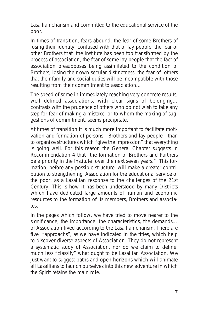Lasallian charism and committed to the educational service of the poor.

In times of transition, fears abound: the fear of some Brothers of losing their identity, confused with that of lay people; the fear of other Brothers that the Institute has been too transformed by the process of association; the fear of some lay people that the fact of association presupposes being assimilated to the condition of Brothers, losing their own secular distinctness; the fear of others that their family and social duties will be incompatible with those resulting from their commitment to association…

The speed of some in immediately reaching very concrete results, well defined associations, with clear signs of belonging... contrasts with the prudence of others who do not wish to take any step for fear of making a mistake, or to whom the making of suggestions of commitment, seems precipitate.

At times of transition it is much more important to facilitate motivation and formation of persons - Brothers and lay people - than to organize structures which "give the impression" that everything is going well. For this reason the General Chapter suggests in Recommendation 4 that "*the formation of Brothers and Partners be a priority in the Institute over the next seven years.*" This formation, before any possible structure, will make a greater contribution to strengthening *Association for the educational service of the poor, as a Lasallian response to the challenges of the 21st Century*. This is how it has been understood by many Districts which have dedicated large amounts of human and economic resources to the formation of its members, Brothers and associates.

In the pages which follow, we have tried to move nearer to the significance, the importance, the characteristics, the demands… of Association lived according to the Lasallian charism. There are five "approachs", as we have indicated in the titles, which help to discover diverse aspects of Association. They do not represent a systematic study of Association, nor do we claim to define, much less "classify" what ought to be Lasallian Association. We just want to suggest paths and open horizons which will animate all Lasallians to launch ourselves into this new adventure in which the Spirit retains the main role.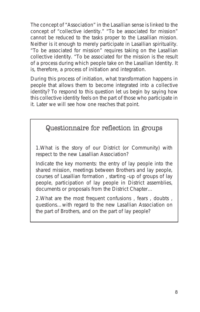The concept of "Association" in the Lasallian sense is linked to the concept of "collective identity." "To be associated for mission" cannot be reduced to the tasks proper to the Lasallian mission. Neither is it enough to merely participate in Lasallian spirituality. "To be associated for mission" requires taking on the Lasallian collective identity. "To be associated for the mission is the result of a process during which people take on the Lasallian Identity. It is, therefore, a process of initiation and integration.

During this process of initiation, what transformation happens in people that allows them to become integrated into a collective identity? To respond to this question let us begin by saying how this collective identity feels on the part of those who participate in it. Later we will see how one reaches that point.

#### Questionnaire for reflection in groups

1.What is the story of our District (or Community) with respect to the new Lasallian Association?

Indicate the key moments: the entry of lay people into the shared mission, meetings between Brothers and lay people, courses of Lasallian formation , starting -up of groups of lay people, participation of lay people in District assemblies, documents or proposals from the District Chapter…

2.What are the most frequent confusions , fears , doubts , questions…with regard to the new Lasallian Association on the part of Brothers, and on the part of lay people?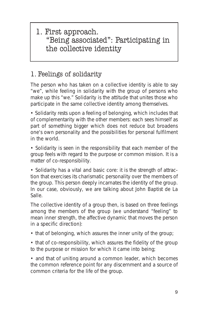1. First approach. "Being associated": Participating in the collective identity

## 1. Feelings of solidarity

The person who has taken on a collective identity is able to say "we", while feeling in solidarity with the group of persons who make up this "we." Solidarity is the attitude that unites those who participate in the same collective identity among themselves.

• Solidarity rests upon a feeling of belonging, which includes that of complementarity with the other members: each sees himself as part of something bigger which does not reduce but broadens one's own personality and the possibilities for personal fulfilment in the world.

• Solidarity is seen in the responsibility that each member of the group feels with regard to the purpose or common mission. It is a matter of co-responsibility.

• Solidarity has a vital and basic core: it is the strength of attraction that exercises its charismatic personality over the members of the group. This person deeply incarnates the identity of the group. In our case, obviously, we are talking about John Baptist de La Salle.

The collective identity of a group then, is based on three feelings among the members of the group (we understand "feeling" to mean inner strength, the affective dynamic that moves the person in a specific direction):

• that of belonging, which assures the inner unity of the group;

• that of co-responsibility, which assures the fidelity of the group to the purpose or mission for which it came into being;

• and that of uniting around a common leader, which becomes the common reference point for any discernment and a source of common criteria for the life of the group.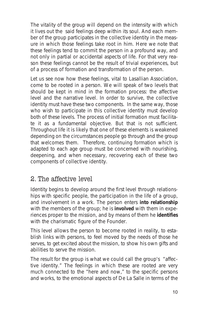The vitality of the group will depend on the intensity with which it lives out the said feelings deep within its soul. And each member of the group participates in the collective identity in the measure in which those feelings take root in him. Here we note that these feelings tend to commit the person in a profound way, and not only in partial or accidental aspects of life. For that very reason these feelings cannot be the result of trivial experiences, but of a process of formation and transformation of the person.

Let us see now how these feelings, vital to Lasallian Association, come to be rooted in a person. We will speak of two levels that should be kept in mind in the formation process: the affective level and the narrative level. In order to survive, the collective identity must have these two components. In the same way, those who wish to participate in this collective identity must develop both of these levels. The process of initial formation must facilitate it as a fundamental objective. But that is not sufficient. Throughout life it is likely that one of these elements is weakened depending on the circumstances people go through and the group that welcomes them. Therefore, continuing formation which is adapted to each age group must be concerned with nourishing, deepening, and when necessary, recovering each of these two components of collective identity.

#### 2. The affective level

Identity begins to develop around the first level through relationships with specific people, the participation in the life of a group, and involvement in a work. The person enters **into relationship** with the members of the group; he is **involved** with them in experiences proper to the mission, and by means of them he **identifies** with the charismatic figure of the Founder.

This level allows the person to become rooted in reality, to establish links with persons, to feel moved by the needs of those he serves, to get excited about the mission, to show his own gifts and abilities to serve the mission.

The result for the group is what we could call the group's "affective identity." The feelings in which these are rooted are very much connected to the "here and now," to the specific persons and works, to the emotional aspects of De La Salle in terms of the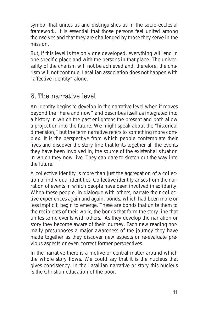symbol that unites us and distinguishes us in the socio-ecclesial framework. It is essential that those persons feel united among themselves and that they are challenged by those they serve in the mission.

But, if this level is the only one developed, everything will end in one specific place and with the persons in that place. The universality of the charism will not be achieved and, therefore, the charism will not continue. Lasallian association does not happen with "affective identity" alone.

### 3. The narrative level

An identity begins to develop in the narrative level when it moves beyond the "here and now" and describes itself as integrated into a history in which the past enlightens the present and both allow a projection into the future. We might speak about the "historical dimension," but the term narrative refers to something more complex. It is the perspective from which people *contemplate* their lives and discover the story line that knits together all the events they have been involved in, *the source* of the existential situation in which they now live. They can dare to sketch out the way into the future.

A collective identity is more than just the aggregation of a collection of individual identities. Collective identity arises from the narration of events in which people have been involved in solidarity. When these people, in dialogue with others, narrate their collective experiences *again and again*, bonds, which had been more or less implicit, begin to emerge. These are bonds that unite them to the recipients of their work, the bonds that form the story line that unites some events with others. As they develop the narration or story they become aware of their journey. Each new reading normally presupposes a major awareness of the journey they have made together as they discover new aspects or re-evaluate previous aspects or even correct former perspectives.

In the narrative there is a motive or central matter around which the whole story flows. We could say that it is the nucleus that gives consistency. In the Lasallian narrative or story this nucleus is *the Christian education of the poor.*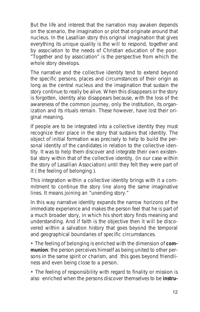But the life and interest that the narration may awaken depends on the scenario, the imagination or plot that originate around that nucleus. In the Lasallian story this original imagination that gives everything its unique quality is the will to respond, *together and by association* to the needs of Christian education of the poor. "Together and by association" is the perspective from which the whole story develops.

The narrative and the collective identity tend to extend beyond the specific persons, places and circumstances of their origin as long as the central nucleus and the imagination that sustain the story continue to really be alive. When this disappears or the story is forgotten, identity also disappears because, with the loss of the awareness of the common journey, only the institution, its organization and its rituals remain. These however, have lost their original meaning.

If people are to be integrated into a collective identity they must recognize their place in the story that sustains that identity. The object of initial formation was precisely to help to build the personal identity of the candidates in relation to the collective identity. It was to help them discover and integrate their own *existential story* within that of the collective identity, (in our case within the story of Lasallian Association) until they felt they were part of it ( the feeling of *belonging* ).

This integration within a collective identity brings with it a commitment to continue the story line along the same imaginative lines. It means joining an "*unending story*."

In this way narrative identity expands the narrow horizons of the immediate experience and makes the person feel that he is part of a much broader story, in which his short story finds meaning and understanding. And if faith is the objective then it will be discovered within a salvation history that goes beyond the temporal and geographical boundaries of specific circumstances.

• The feeling of belonging is enriched with the dimension of **communion**: the person perceives himself as being united to other persons in the same spirit or charism, and this goes beyond friendliness and even being close to a person.

• The feeling of responsibility with regard to finality or mission is also enriched when the persons discover themselves to be **instru-**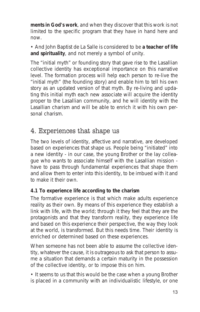**ments in God's work**, and when they discover that this work is not limited to the specific program that they have in hand here and now

• And John Baptist de La Salle is considered to be **a teacher of life and spirituality**, and not merely a symbol of unity.

The "*initial myth*" or founding story that gave rise to the Lasallian collective identity has exceptional importance on this narrative level. The formation process will help each person to re-live the "*initial myth*" (the founding story) and enable him to tell his own story as an updated version of that myth. By re-living and updating this *initial myth* each new *associate* will acquire the *identity* proper to the Lasallian community, and he will identity with the Lasallian charism and will be able to enrich it with his own personal charism.

#### 4. Experiences that shape us

The two levels of identity, affective and narrative, are developed based on *experiences that shape us*. People being "initiated" into a new identity - in our case, the young Brother or the lay colleague who wants to associate himself with the Lasallian mission have to pass through fundamental experiences that shape them and allow them to enter into this identity, to be imbued with it and to make it their own.

#### **4.1 To experience life according to the charism**

The formative experience is that which make adults experience reality as their own. By means of this experience they establish a link with life, with the world; through it they feel that they are the protagonists and that they transform reality, *they experience life* and based on this experience their perspective, the way they look at the world, is transformed. But this needs time. Their identity is enriched or determined based on these experiences.

When someone has not been able to assume the collective identity, whatever the cause, it is outrageous to ask that person to assume a situation that demands a certain maturity in the possession of the collective identity, or to impose this on him.

• It seems to us that this would be the case when a young Brother is placed in a community with an individualistic lifestyle, or one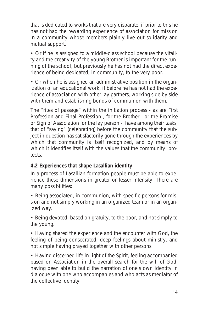that is dedicated to works that are very disparate, if prior to this he has not had the rewarding experience of association for mission in a community whose members plainly live out solidarity and mutual support.

• Or if he is assigned to a middle-class school because the vitality and the creativity of the young Brother is important for the running of the school, but previously he has not had the direct experience of being dedicated, in community, to the very poor.

• Or when he is assigned an administrative position in the organization of an educational work, if before he has not had the experience of association with other lay partners, working side by side with them and establishing bonds of communion with them.

The "rites of passage" within the initiation process - as are First Profession and Final Profession , for the Brother - or the Promise or Sign of Association for the lay person - have among their tasks, that of "saying" (celebrating) before the community that the subject in question has satisfactorily gone through the experiences by which that community is itself recognized, and by means of which it identifies itself with the values that the community protects.

#### **4.2 Experiences that shape Lasallian identity**

In a process of Lasallian formation people must be able to experience these dimensions in greater or lesser intensity. There are many possibilities:

• Being associated, *in communion*, with specific persons for mission and not simply working in an organized team or in an organized way.

• Being devoted, based on gratuity, to the poor, and not simply to the young.

• Having shared *the experience and the encounter with God*, the feeling of being consecrated, deep feelings about ministry, and not simple having prayed together with other persons.

• Having discerned life in light of the Spirit, feeling accompanied based on Association in the overall search for the will of God, having been able to build the narration of one's own identity in dialogue with one who accompanies and who acts as mediator of the collective identity.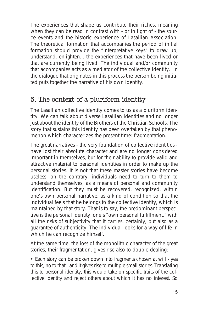The experiences that shape us contribute their richest meaning when they can be read in contrast with - or in light of - the source events and the historic experience of Lasallian Association. The theoretical formation that accompanies the period of initial formation should provide the "interpretative keys" to draw up, understand, enlighten... the experiences that have been lived or that are currently being lived. The individual and/or community that accompanies acts as a mediator of the collective identity. In the dialogue that originates in this process the person being initiated puts together the narrative of his own identity.

### 5. The context of a pluriform identity

The Lasallian collective identity comes to us as a pluriform identity. We can talk about diverse Lasallian identities and no longer just about the identity of the Brothers of the Christian Schools. The story that sustains this identity has been overtaken by that phenomenon which characterizes the present time: *fragmentation.*

The great narratives - the very foundation of collective identities have lost their absolute character and are no longer considered important in themselves, but for their ability to provide valid and attractive material to personal identities in order to make up the personal stories. It is not that these master stories have become useless: on the contrary, individuals need to turn to them to understand themselves, as a means of personal and community identification. But they must be recovered, recognized, within one's own personal narrative, as a kind of condition so that the individual feels that he *belongs* to the collective identity, which is maintained by that story. That is to say, the predominant perspective is the personal identity, one's "own personal fulfillment," with all the risks of subjectivity that it carries, certainly, but also as a guarantee of authenticity. The individual looks for a way of life in which he can recognize himself.

At the same time, the loss of the monolithic character of the great stories, their fragmentation, gives rise also to double-dealing:

• Each story can be broken down into fragments chosen at will - yes to this, no to that - and it gives rise to multiple small stories. Translating this to personal identity, this would take on specific traits of the collective identity and reject others about which it has no interest. So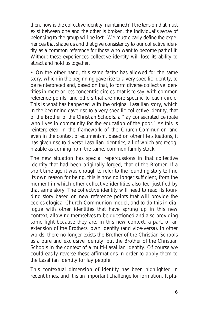then, how is the collective identity maintained? If the tension that must exist between one and the other is broken, the individual's sense of belonging to the group will be lost. We must clearly define the experiences that shape us and that give consistency to our collective identity as a common reference for those who want to become part of it. Without these experiences collective identity will lose its ability to attract and hold us together.

• On the other hand, this same factor has allowed for the same story, which in the beginning gave rise to a very specific identity, to be reinterpreted and, based on that, to form diverse collective identities in more or less concentric circles, that is to say, with common reference points, and others that are more specific to each circle. This is what has happened with the original Lasallian story, which in the beginning gave rise to a very specific collective identity, that of the Brother of the Christian Schools, a "*lay consecrated celibate who lives in community for the education of the poor*." As this is reinterpreted in the framework of the Church-Communion and even in the context of ecumenism, based on other life situations, it has given rise to diverse Lasallian identities, all of which are recognizable as coming from the same, common family stock.

The new situation has special repercussions in that collective identity that had been originally forged, that of the Brother. If a short time ago it was enough to refer to the founding story to find its own reason for being, this is now no longer sufficient, from the moment in which other collective identities also feel justified by that same story. The collective identity will need to read its founding story based on new reference points that will provide the ecclesiological Church-Communion model, and to do this in dialogue with other identities that have sprung up in this new context, allowing themselves to be questioned and also providing some light because they are, in this new context, a part, or *an extension of the Brothers' own identity* (and vice-versa). In other words, there no longer exists the Brother of the Christian Schools as a pure and exclusive identity, *but the Brother of the Christian Schools in the context of a multi-Lasallian identity*. Of course we could easily reverse these affirmations in order to apply them to the Lasallian identity for lay people.

This *contextual* dimension of identity has been highlighted in recent times, and it is an important challenge for formation. It pla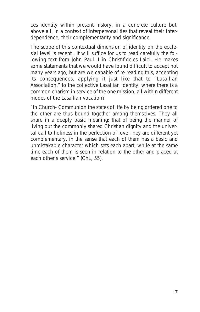ces identity within present history, in a concrete culture but, above all, in a context of interpersonal ties that reveal their interdependence, their complementarity and significance.

The scope of this contextual dimension of identity on the ecclesial level is recent . It will suffice for us to read carefully the following text from John Paul II in *Christifideles Laici*. He makes some statements that we would have found difficult to accept not many years ago; but are we capable of re-reading this, accepting its consequences, applying it just like that to "Lasallian Association," to the collective Lasallian identity, where there is a common charism in service of the one mission, all within different modes of the Lasallian vocation?

*"In Church- Communion the states of life by being ordered one to the other are thus bound together among themselves. They all share in a deeply basic meaning: that of being the manner of living out the commonly shared Christian dignity and the universal call to holiness in the perfection of love They are different yet complementary, in the sense that each of them has a basic and unmistakable character which sets each apart, while at the same time each of them is seen in relation to the other and placed at each other's service."* (ChL, 55).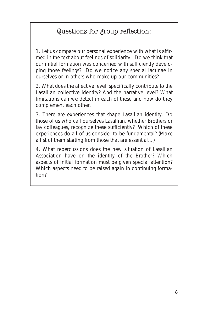### Questions for group reflection:

1. Let us compare our personal experience with what is affirmed in the text about feelings of solidarity. Do we think that our initial formation was concerned with sufficiently developing those feelings? Do we notice any special lacunae in ourselves or in others who make up our communities?

2. What does the affective level specifically contribute to the Lasallian collective identity? And the narrative level? What limitations can we detect in each of these and how do they complement each other.

3. There are experiences that shape Lasallian identity. Do those of us who call ourselves Lasallian, whether Brothers or lay colleagues, recognize these sufficiently? Which of these experiences do all of us consider to be fundamental? (Make a list of them starting from those that are essential…)

4. What repercussions does the new situation of Lasallian Association have on the identity of the Brother? Which aspects of initial formation must be given special attention? Which aspects need to be raised again in continuing formation?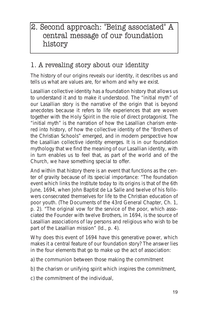# 2. Second approach: "Being associated" A central message of our foundation history

## 1. A revealing story about our identity

The history of our origins reveals our identity, it describes us and tells us what are values are, for whom and why we exist.

Lasallian collective identity has a foundation history that allows us to understand it and to make it understood. The "*initial myth*" of our Lasallian story is the narrative of the origin that is beyond anecdotes because it refers to life experiences that are woven together with the Holy Spirit in the role of direct protagonist. The "initial myth" is the narration of how the Lasallian charism entered into history, of how the collective identity of the "Brothers of the Christian Schools" emerged, and in modern perspective how the Lasallian collective identity emerges. It is in our foundation mythology that we find the meaning of our Lasallian identity, with in turn enables us to feel that, as part of the world and of the Church, we have something special to offer.

And within that history there is an event that functions as the center of gravity because of its special importance: "The foundation event which links the Institute today to its origins is that of the 6th June, 1694, when John Baptist de La Salle and twelve of his followers consecrated themselves for life to the Christian education of poor youth. (*The Documents of the 43rd General Chapter, Ch. 1, p. 2*). "The original vow for the service of the poor, which associated the Founder with twelve Brothers, in 1694, is the source of Lasallian associations of lay persons and religious who wish to be part of the Lasallian mission" (Id., p. 4).

Why does this event of 1694 have this generative power, which makes it a central feature of our foundation story? The answer lies in the four elements that go to make up the act of association:

- a) the communion between those making the commitment
- b) the charism or unifying spirit which inspires the commitment,
- c) the commitment of the individual,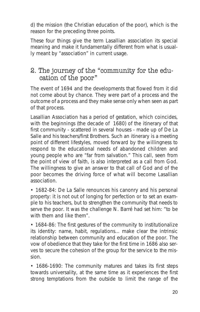d) the mission (the Christian education of the poor), which is the reason for the preceding three points.

These four things give the term Lasallian association its special meaning and make it fundamentally different from what is usually meant by "association" in current usage.

#### 2. The journey of the "community for the education of the poor"

The event of 1694 and the developments that flowed from it did not come about by chance. They were part of a process and the outcome of a process and they make sense only when seen as part of that process.

Lasallian Association has a *period of gestation*, which coincides, with the beginnings (the decade of 1680) of the itinerary of that first community - scattered in several houses - made up of De La Salle and his teachers/first Brothers. Such an itinerary is a meeting point of different lifestyles, moved forward by the willingness to respond to the educational needs of abandoned children and young people who are "far from salvation." This call, seen from the point of view of faith, is also interpreted as a call from God. The willingness to give an answer to that call of God and of the poor becomes the driving force of what will become Lasallian association.

• 1682-84: De La Salle renounces his canonry and his personal property: it is not out of longing for perfection or to set an example to his teachers, but to strengthen the community that needs to serve the poor. It was the challenge N. Barré had set him: "to be with them and like them"

• 1684-86: The first gestures of the community to institutionalize its identity: name, habit, regulations... make clear the intrinsic relationship between community and education of the poor. The vow of obedience that they take for the first time in 1686 also serves to secure the cohesion of the group for the service to the mission.

• 1686-1690: The community matures and takes its first steps towards *universality*, at the same time as it experiences the first strong temptations from the outside to limit the range of the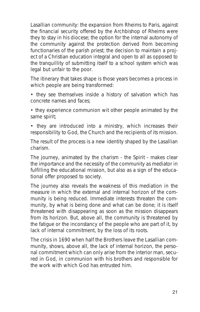Lasallian community: the expansion from Rheims to Paris, against the financial security offered by the Archbishop of Rheims were they to stay in his diocese; the option for the internal autonomy of the community against the protection derived from becoming functionaries of the parish priest; the decision to maintain a project of a Christian education integral and open to all as opposed to the tranquillity of submitting itself to a school system which was legal but unfair to the poor.

The itinerary that takes shape is those years becomes a *process in which people are being transformed*:

• they see themselves inside a history of salvation which has concrete names and faces;

• they experience communion wit other people animated by the same spirit;

• they are introduced into a ministry, which increases their responsibility to God, the Church and the recipients of its mission.

The result of the process is a *new identity shaped by the Lasallian charism.*

The journey, animated by the charism - the Spirit - makes clear the importance and the necessity of the *community* as *mediator* in fulfilling the educational mission, but also as a *sign* of the educational offer proposed to society.

The journey also reveals the *weakness of this mediation* in the measure in which the external and internal horizon of the community is being reduced. Immediate interests threaten the community, by what is being done and what can be done; it is itself threatened with disappearing as soon as the mission disappears from its horizon. But, above all, the community is threatened by the fatigue or the inconstancy of the people who are part of it, by lack of internal commitment, by the loss of its roots.

The crisis in 1690 when half the Brothers leave the Lasallian community, shows, above all, the lack of internal horizon, the personal commitment which can only arise from the interior man, secured in God, in communion with his brothers and responsible for the work with which God has entrusted him.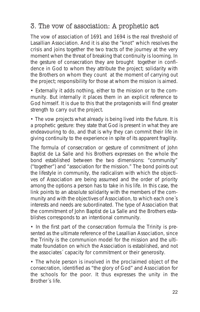### 3. The vow of association: A prophetic act

The vow of association of 1691 and 1694 is the real threshold of Lasallian Association. And it is also the "knot" which resolves the crisis and joins together the two tracts of the journey at the very moment when the threat of breaking that continuity is looming. In the gesture of consecration they are brought together in confidence in God to whom they attribute the project; *solidarity with the Brothers* on whom they count at the moment of carrying out the project; *responsibility for those at whom the mission is aimed.*

• Externally it adds nothing, either to the mission or to the community. But internally *it places them in an explicit reference to God himself.* It is due to this that the protagonists will find greater strength to carry out the project.

• The vow projects what already is being lived into the future. It is a *prophetic gesture*: they state that God is present in what they are endeavouring to do, and that is why they can commit their life in giving continuity to the experience in spite of its apparent fragility.

The formula of consecration or gesture of commitment of John Baptist de La Salle and his Brothers expresses on the whole the bond established between the two dimensions: "community" ("*together*") and "association for the mission." The bond points out the lifestyle in community, the radicalism with which the objectives of Association are being assumed and the order of priority among the options a person has to take in his life. In this case, the link points to an absolute solidarity with the members of the community and with the objectives of Association, to which each one´s interests and needs are subordinated. The type of Association that the commitment of John Baptist de La Salle and the Brothers establishes corresponds to an *intentional community.*

• In the first part of the consecration formula the Trinity is presented as the ultimate reference of the Lasallian Association, since the Trinity is the communion model for the mission and the ultimate foundation on which the Association is established, and not the associates´ capacity for commitment or their generosity.

• The whole person is involved in the proclaimed object of the consecration, identified as "*the glory of God*" and Association for the *schools for the poor*. It thus expresses the unity in the Brother´s life.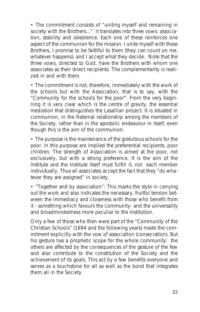• The commitment consists of "uniting myself and remaining in society with the Brothers..." it translates into three vows: *association, stability and obedience*. Each one of these reinforces one aspect of the communion for the mission. I unite myself with these Brothers, I promise to be faithful to them (they can count on me, whatever happens), and I accept what they decide. Note that the three vows, directed to God, have the Brothers with whom one associates as their direct recipients. The complementarity is realized in and with them.

• The commitment is not, therefore, immediately with the work of the schools but with the Association, that is to say, with the "Community for the schools for the poor". From the very beginning it is very clear which is the *centre of gravity*, the essential *mediation* that distinguishes the Lasallian project. It is situated in communion, in the fraternal relationship among the members of the Society, rather than in the apostolic endeavour in itself, even though this is the aim of the communion.

• The purpose is the maintenance of the gratuitous schools for the poor. In this purpose are implied the preferential recipients, poor children. The strength of Association is aimed at the poor, not exclusively, but with a strong preference. It is the aim of the Institute and the Institute itself must fulfill it, not each member individually. Thus all associates accept the fact that they "*do whatever they are assigned*" in society.

• "*Together and by association*": This marks the style in carrying out the work and also indicates the necessary, fruitful tension between the immediacy and closeness with those who benefit from it - something which favours the community- and the universality and broadmindedness more peculiar to the Institution.

Only a few of those who then were part of the "*Community of the Christian Schools*" (1694 and the following years) made the commitment explicitly with the vow of association (consecration). But his gesture has a prophetic scope for the whole community: the others are affected by the consequences of the gesture of the few and also contribute to the constitution of the Society and the achievement of its goals. This act by a few benefits everyone and serves as a touchstone for all as well as the bond that integrates them all in the Society.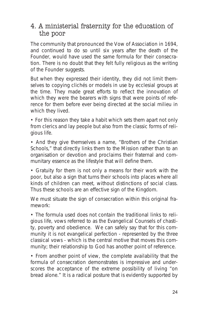#### 4. A ministerial fraternity for the education of the poor

The community that pronounced the Vow of Association in 1694, and continued to do so until six years after the death of the Founder, would have used the same formula for their consecration. There is no doubt that they felt fully religious as the writing of the Founder suggests.

But when they expressed their identity, they did not limit themselves to copying clichés or models in use by ecclesial groups at the time. They made great efforts to reflect the innovation of which they were the bearers with signs that were points of reference for them before ever being directed at the social milieu in which they lived.

• For this reason they take a habit which sets them apart not only from clerics and lay people but also from the classic forms of religious life.

• And they give themselves a name, "Brothers of the Christian Schools," that directly links them to the Mission rather than to an organisation or devotion and proclaims their fraternal and communitary essence as the lifestyle that will define them.

• Gratuity for them is not only a means for their work with the poor, but also a *sign* that turns their schools into places where all kinds of children can meet, without distinctions of social class. Thus these schools are an effective *sign of the Kingdom*.

We must situate the sign of consecration within this original framework:

• The formula used does not contain the traditional links to religious life, vows referred to as the *Evangelical Counsels of chastity, poverty and obedience.* We can safely say that for this community it is not evangelical perfection - represented by the three classical vows - which is the central motive that moves this community; their relationship to God has another point of reference.

• From another point of view, the complete availability that the formula of consecration demonstrates is impressive and underscores the acceptance of the extreme possibility of living "*on bread alone.*" It is a radical posture that is evidently supported by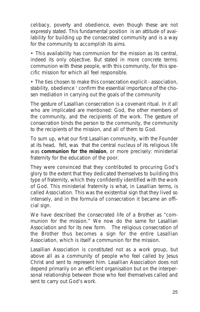celibacy, poverty and obedience, even though these are not expressly stated. This fundamental position is an attitude of availability for building up the consecrated community and is a way for the community to accomplish its aims.

• This availability has *communion for the mission* as its central, indeed its only objective. But stated in more concrete terms: communion with these people, with this community, for this specific mission for which all feel responsible.

• The ties chosen to make this consecration explicit - association, stability, obedience ' confirm the essential importance of the chosen mediation in carrying out the goals of the community

The gesture of Lasallian consecration is a covenant ritual. In it all who are implicated are mentioned: God, the other members of the community, and the recipients of the work. The gesture of consecration binds the person to the community, the community to the recipients of the mission, and all of them to God.

To sum up, what our first Lasallian community, with the Founder at its head, felt, was that the central nucleus of its religious life was **communion for the mission**, or more precisely: ministerial fraternity for the education of the poor.

They were convinced that they contributed to procuring God's glory to the extent that they dedicated themselves to building this type of fraternity, which they confidently identified with the work of God. This ministerial fraternity is what, in Lasallian terms, is called *Association*. This was the *existential sign* that they lived so intensely, and in the formula of consecration it became an *official sign*.

We have described the consecrated life of a Brother as "communion for the mission." We now do the same for Lasallian Association and for its new form. The religious consecration of the Brother thus becomes a sign for the entire Lasallian Association, which is itself a communion for the mission.

Lasallian Association is constituted not as a work group, but above all as a community of people who feel called by Jesus Christ and sent to represent him. Lasallian Association does not depend primarily on an efficient organisation but on the interpersonal relationship between those who feel themselves called and sent to carry out God's work.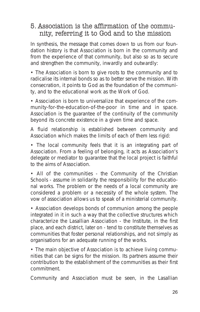#### 5. Association is the affirmation of the community, referring it to God and to the mission

In synthesis, the message that comes down to us from our foundation history is that Association is born *in* the community and *from* the experience of that community, but also so as to secure and strengthen the community, inwardly and outwardly:

• The Association is born to give roots to the community and to radicalise its internal bonds so as to better serve the mission. With consecration, it points to God as the foundation of the community, and to the educational work as the Work of God.

• Association is born to *universalize* that experience of the community-for-the-education-of-the-poor in time and in space. Association is the guarantee of the continuity of the community beyond its concrete existence in a given time and space.

A fluid relationship is established between *community* and *Association* which makes the limits of each of them less rigid:

• The local community feels that it is an integrating part of Association. From a feeling of belonging, it acts as Association's delegate or *mediator* to guarantee that the local project is faithful to the aims of Association.

• All of the communities - *the Community of the Christian Schools* - assume in solidarity the responsibility for the educational works. The problem or the needs of a local community are considered a problem or a necessity of the whole system. The vow of association allows us to speak of a *ministerial community*.

• Association develops bonds of communion among the people integrated in it in such a way that the collective structures which characterize the Lasallian Association - the Institute, in the first place, and each district, later on - tend to constitute themselves as communities that foster personal relationships, and not simply as organisations for an adequate running of the works.

• The main objective of Association is to achieve living communities that can be signs for the mission. Its partners assume their contribution to the establishment of the communities as their first commitment.

Community and Association must be seen, in the Lasallian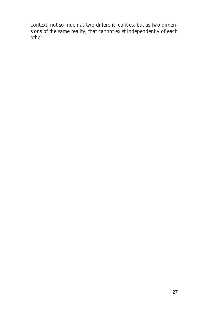context, not so much as two different realities, but as two dimensions of the same reality, that cannot exist independently of each other.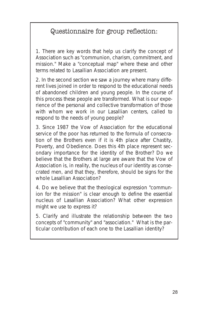# Questionnaire for group reflection:

1. There are key words that help us clarify the concept of Association such as "communion, charism, commitment, and mission." Make a "conceptual map" where these and other terms related to Lasallian Association are present.

2. In the second section we saw a journey where many different lives joined in order to respond to the *educational needs of abandoned children and young people*. In the course of this process these people are transformed. What is our experience of the personal and collective transformation of those with whom we work in our Lasallian centers, called to respond to the needs of young people?

3. Since 1987 the Vow of Association for the educational service of the poor has returned to the formula of consecration of the Brothers even if it is 4th place after Chastity, Poverty, and Obedience. Does this 4th place represent secondary importance for the identity of the Brother? Do we believe that the Brothers at large are aware that the Vow of Association is, in reality, the nucleus of our identity as consecrated men, and that they, therefore, should be signs for the whole Lasallian Association?

4. Do we believe that the theological expression "communion for the mission" is clear enough to define the essential nucleus of Lasallian Association? What other expression might we use to express it?

5. Clarify and illustrate the relationship between the two concepts of "community" and "association." What is the particular contribution of each one to the Lasallian identity?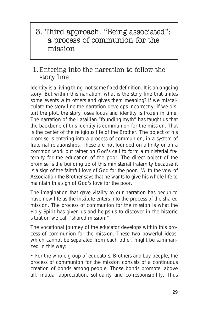# 3. Third approach. "Being associated": a process of communion for the mission

#### 1.Entering into the narration to follow the story line

Identity is a living thing, not some fixed definition. It is an ongoing story. But within this narration, what is the story line that unites some events with others and gives them meaning? If we miscalculate the story line the narration develops incorrectly; if we distort the plot, the story loses focus and identity is frozen in time. The narration of the Lasallian "founding myth" has taught us that the backbone of this identity is communion for the mission. That is the center of the religious life of the Brother. The object of his promise is entering into a process of communion, in a system of fraternal relationships. These are not founded on affinity or on a common work but rather on God's call to form a *ministerial fraternity for the education of the poor.* The direct object of the promise is the building up of this ministerial fraternity because it is a sign of the faithful love of God for the poor. With the vow of Association the Brother says that he wants to give his whole life to maintain this sign of God's love for the poor.

The imagination that gave vitality to our narration has begun to have new life as the institute enters into the process of the shared mission. The process of *communion for the mission* is what the Holy Spirit has given us and helps us to discover in the historic situation we call "shared mission."

The vocational journey of the educator develops within this process of *communion for the mission*. These two powerful ideas, which cannot be separated from each other, might be summarized in this way:

• For the whole group of educators, Brothers and Lay people, *the process of communion for the mission* consists of a continuous creation of bonds among people. Those *bonds* promote, above all, mutual appreciation, solidarity and co-responsibility. Thus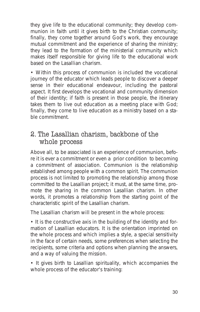they give life to the educational community; they develop communion in faith until it gives birth to the Christian community; finally, they come together around God's work, they encourage mutual commitment and the experience of sharing the ministry; they lead to the formation of the *ministerial community* which makes itself responsible for giving life to the educational work based on the Lasallian charism.

• Within this process of communion is included the vocational journey of the educator which leads people to discover a deeper sense in their educational endeavour, including the pastoral aspect. It first develops the vocational and community dimension of their identity; if faith is present in those people, the itinerary takes them to live out education as a meeting place with God; finally, they come to *live education as a ministry* based on a stable commitment.

#### 2. The Lasallian charism, backbone of the whole process

Above all, to be associated is an experience of communion, before it is ever a commitment or even a prior condition to becoming a commitment of association. Communion is the *relationship* established among people with a *common spirit*. The communion process is not limited to promoting the relationship among those committed to the Lasallian project; it must, at the same time, promote the *sharing in the common Lasallian charism*. In other words, it promotes a relationship from the starting point of the characteristic spirit of the Lasallian charism.

*The Lasallian charism* will be present in the whole process:

• It is the constructive axis in the building of the identity and formation of Lasallian educators. It is the *orientation* imprinted on the whole process and which implies a style, a special sensitivity in the face of certain needs, some preferences when selecting the recipients, some criteria and options when planning the answers, and a way of valuing the mission.

• It gives birth to Lasallian *spirituality*, which accompanies the whole process of the educator's training: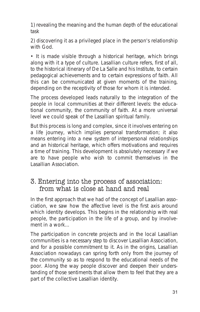1) revealing the meaning and the human depth of the educational task

2) discovering it as a privileged place in the person's relationship with God.

• It is made visible through a *historical heritage*, which brings along with it a type of culture. Lasallian culture refers, first of all, to the historical itinerary of De La Salle and his Institute, to certain pedagogical achievements and to certain expressions of faith. All this can be communicated at given moments of the training, depending on the receptivity of those for whom it is intended.

The process developed leads naturally to the integration of the people in local communities at their different levels: the educational community, the community of faith. At a more universal level we could speak of the Lasallian spiritual family.

But this process is long and complex, since it involves entering on a *life journey*, which implies personal transformation; it also means entering into a *new system of interpersonal relationships* and *an historical heritage*, which offers motivations and requires a time of training. This development is absolutely necessary if we are to have people who wish to commit themselves in the Lasallian Association.

#### 3. Entering into the process of association: from what is close at hand and real

In the first approach that we had of the concept of Lasallian association, we saw how the affective level is the first axis around which identity develops. This begins in the relationship with real people, the participation in the life of a group, and by involvement in a work...

The participation in concrete projects and in the local Lasallian communities is a necessary step to discover Lasallian Association, and for a possible commitment to it. As in the origins, Lasallian Association nowadays can spring forth only from the journey of the community so as to respond to the educational needs of the poor. Along the way people discover and deepen their understanding of those sentiments that allow them to feel that they are a part of the collective Lasallian identity.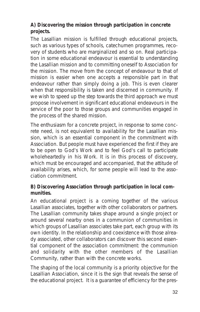#### **A) Discovering the mission through participation in concrete projects.**

The Lasallian mission is fulfilled through educational projects, such as various types of schools, catechumen programmes, recovery of students who are marginalized and so on. Real participation in some educational endeavour is essential to understanding the Lasallian mission and to committing oneself to Association for the mission. The move from the concept of endeavour to that of mission is easier when one accepts a responsible part in that endeavour rather than simply doing a job. This is even clearer when that responsibility is taken and discerned in community. If we wish to speed up the step towards the third approach we must propose *involvement in significant educational endeavours* in the service of the poor to those groups and communities engaged in the process of the shared mission.

The enthusiasm for a concrete project, in response to some concrete need, is not equivalent to *availability for the Lasallian mission*, which is an essential component in the commitment with Association. But people must have experienced the first if they are to be open to God's Work and to feel God's call to participate wholeheartedly in his Work. It is in this process of discovery, which must be encouraged and accompanied, that the attitude of availability arises, which, for some people will lead to the association commitment.

#### **B) Discovering Association through participation in local communities.**

An educational project is *a coming together* of the various Lasallian associates, together with other collaborators or partners. The Lasallian community takes shape around a single project or around several nearby ones in a communion of communities in which groups of Lasallian associates take part, each group with its own identity. In the relationship and coexistence with those already associated, other collaborators can discover this second essential component of the association commitment: *the communion and solidarity with the other members of the Lasallian Community*, rather than with the concrete works.

The shaping of *the local community* is a priority objective for the Lasallian Association, since it is the sign that reveals the sense of the educational project. It is a guarantee of efficiency for the pres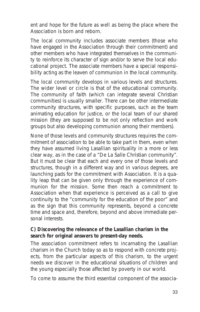ent and hope for the future as well as being the place where the Association is born and *reborn*.

The local community includes *associate* members (those who have engaged in the Association through their commitment) and other members who have *integrated* themselves in the community to reinforce its character of sign and/or to serve the local educational project. The associate members have a special responsibility acting as the leaven of communion in the local community.

The local community develops in various levels and structures. The wider level or circle is that of the educational community. The community of faith (which can integrate several Christian communities) is usually smaller. There can be other intermediate community structures, with specific purposes, such as the team animating education for justice, or *the local team of our shared mission* (they are supposed to be not only reflection and work groups but also developing communion among their members).

None of those levels and community structures requires the commitment of association to be able to take part in them, even when they have assumed living Lasallian spirituality in a more or less clear way, as in the case of a "De La Salle Christian community". But it must be clear that each and every one of those levels and structures, though in a different way and in various degrees, are *launching pads* for the commitment with Association. It is a quality leap that can be given only *through the experience of communion for the mission.* Some then reach a commitment to Association when that experience is perceived as a *call* to give continuity to the "*community for the education of the poor*" and as the sign that this community represents, beyond a concrete time and space and, therefore, beyond and above immediate personal interests.

#### **C) Discovering the relevance of the Lasallian charism in the search for original answers to present-day needs.**

The association commitment refers to *incarnating the Lasallian charism in the Church today* so as to respond with concrete projects, from the particular aspects of this charism, to the urgent needs we discover in the educational situations of children and the young especially those affected by poverty in our world.

To come to assume the third essential component of the associa-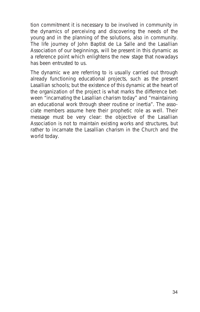tion commitment it is necessary *to be involved in community in the dynamics of perceiving and discovering* the needs of the young and in the planning of the solutions, also in community. The life journey of John Baptist de La Salle and the Lasallian Association of our beginnings, will be present in this dynamic as a reference point which enlightens the new stage that nowadays has been entrusted to us.

The dynamic we are referring to is usually carried out through already functioning educational projects, such as the present Lasallian schools; but the existence of this dynamic at the heart of the organization of the project is what marks the difference between "incarnating the Lasallian charism today" and "maintaining an educational work through sheer routine or inertia". The associate members assume here their prophetic role as well. Their message must be very clear: the objective of the Lasallian Association is not to maintain existing works and structures, but rather *to incarnate the Lasallian charism in the Church and the world today.*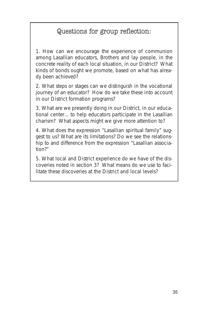### Questions for group reflection:

1. How can we encourage the experience of communion among Lasallian educators, Brothers and lay people, in the concrete reality of each local situation, in our District? What kinds of bonds ought we promote, based on what has already been achieved?

2. What steps or stages can we distinguish in the vocational journey of an educator? How do we take these into account in our District formation programs?

3. What are we presently doing in our District, in our educational center... to help educators participate in the Lasallian charism? What aspects might we give more attention to?

4. What does the expression "Lasallian spiritual family" suggest to us? What are its limitations? Do we see the relationship to and difference from the expression "Lasallian association?"

5. What local and District experience do we have of the discoveries noted in section 3? What means do we use to facilitate these discoveries at the District and local levels?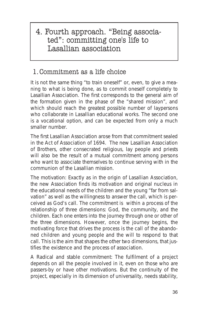## 4. Fourth approach. "Being associated": committing one's life to Lasallian association

### 1.Commitment as a life choice

It is not the same thing "to train oneself" or, even, to give a meaning to what is being done, as *to commit oneself* completely to Lasallian Association. The first corresponds to the general aim of the formation given in the phase of the "shared mission", and which should reach the greatest possible number of laypersons who collaborate in Lasallian educational works. The second one is a vocational option, and can be expected from only a much smaller number.

The first Lasallian Association arose from that commitment sealed in the Act of Association of 1694. The new Lasallian Association of Brothers, other consecrated religious, lay people and priests will also be the result of a mutual commitment among persons who want to associate themselves to continue serving with in the communion of the Lasallian mission.

*The motivation*: Exactly as in the origin of Lasallian Association, the new Association finds its motivation and original nucleus in the educational needs of the children and the young "*far from salvation*" as well as the willingness to answer the call, which is perceived as God's call. The commitment is within a process of the relationship of three dimensions: *God, the community, and the children*. Each one enters into the journey through one or other of the three dimensions. However, once the journey begins, the motivating force that drives the process is the call of the abandoned children and young people and the will to respond to that call. This is the aim that shapes the other two dimensions, that justifies the existence and the process of association.

*A Radical and stable commitment*: The fulfilment of a project depends on all the people involved in it, even on those who are passers-by or have other motivations. But the *continuity* of the project, especially in its dimension of universality, needs *stability*,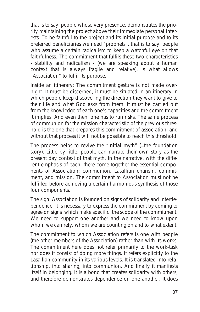that is to say, people whose very presence, demonstrates the priority maintaining the project above their immediate personal interests. To be faithful to the project and its initial purpose and to its preferred beneficiaries we need "*prophets*", that is to say, people who assume a certain radicalism to keep a watchful eye on that faithfulness. The *commitment* that fulfils these two characteristics - stability and radicalism - (we are speaking about a human context that is always fragile and relative), is what allows "Association" to fulfil its purpose.

*Inside an itinerary*: The commitment gesture is not made overnight. It must be discerned; it must be situated in an itinerary in which people keep discovering the direction they want to give to their life and what God asks from them. It must be carried out from the knowledge of each one's capacities and the commitment it implies. And even then, one has to run risks. The same *process of communion for the mission* characteristic of the previous threshold is the one that prepares this commitment of association, and without that process it will not be possible to reach this threshold.

The process helps to revive the "*initial myth*" (=the foundation story). Little by little, people can narrate their own story as the present day context of that *myth*. In the narrative, with the different emphasis of each, there come together the essential components of Association: *communion, Lasallian charism, commitment, and mission*. The commitment to Association must not be fulfilled before achieving a certain harmonious synthesis of those four components.

The sign: Association is founded on signs of solidarity and interdependence. It is necessary to express the commitment by coming to agree on signs which make specific the scope of the commitment. We need to support one another and we need to know upon whom we can rely, whom we are counting on and to what extent.

The commitment to which Association refers is one with people (the other members of the Association) rather than with its works. The commitment here does not refer primarily to the work-task nor does it consist of doing more things. I*t refers explicitly to the Lasallian community* in its various levels. It is translated into *relationship*, into sharing, into communion. And finally it manifests itself in *belonging*. It is a bond that creates solidarity with others, and therefore demonstrates dependence on one another. It does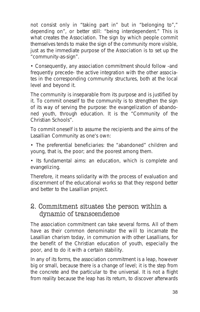not consist only in "*taking part in*" but in "*belonging to*"," *depending on*", or better still: "*being interdependent.*" This is what creates the Association. The sign by which people commit themselves tends to make the sign of the community more visible, just as the immediate purpose of the Association is to set up the "community-as-sign".

• Consequently, any association commitment should follow -and frequently precede- the active integration with the other associates in the *corresponding community structures*, both at the local level and beyond it.

*The community is inseparable from its purpose* and is justified by it. To commit oneself to the community is to strengthen the sign of its way of serving the purpose: the evangelization of abandoned youth, through education. It is the "Community of the Christian Schools".

To commit oneself is to assume the recipients and the aims of the Lasallian Community as one's own:

• The preferential beneficiaries: the "abandoned" children and young, that is, the poor; and the poorest among them.

• Its fundamental aims: an education, which is complete and evangelizing.

Therefore, it means solidarity with the process of evaluation and discernment of the educational works so that they respond better and better to the Lasallian project.

#### 2. Commitment situates the person within a dynamic of transcendence

The association commitment can take several forms. All of them have as their common denominator *the will to incarnate the Lasallian charism today, in communion with other Lasallians, for the benefit of the Christian education of youth, especially the poor, and to do it with a certain stability.*

In any of its forms, the association commitment is a leap, however big or small, because there is a change of level; it is *the step from the concrete and the particular to the universal.* It is not a flight from reality because the leap has its return, to discover afterwards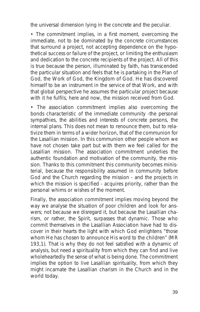the universal dimension lying in the concrete and the peculiar.

• The commitment implies, in a first moment, *overcoming the immediate*, not to be dominated by the concrete circumstances that surround a project, not accepting dependence on the hypothetical success or failure of the project, or limiting the enthusiasm and dedication to the concrete recipients of the project. All of this is true because the person, illuminated by faith, has transcended the particular situation and feels that he is partaking in the Plan of God, the Work of God, the Kingdom of God. He has discovered himself to be an instrument in the service of that Work, and with that global perspective he assumes the particular project because with it he fulfils, here and now, the mission received from God.

• The association commitment implies also *overcoming the bonds characteristic of the immediate community* -the personal sympathies, the abilities and interests of concrete persons, the internal plans. This does not mean to renounce them, but to relativize them in terms of a wider horizon, that of the *communion for the Lasallian mission*. In this communion other people whom we have not chosen take part but with them we feel called for the Lasallian mission. The association commitment underlies the authentic foundation and motivation of the community, the mission. Thanks to this commitment this community becomes ministerial, because the responsibility assumed in community before God and the Church regarding the mission - and the projects in which the mission is specified - acquires priority, rather than the personal whims or wishes of the moment.

Finally, the association commitment implies moving beyond the way we analyse the situation of poor children and look for answers; not because we disregard it, but because the Lasallian charism, or rather, the Spirit, surpasses that dynamic. Those who commit themselves in the Lasallian Association have had to discover in their hearts the light with which God enlightens "*those whom He has chosen to announce His word to the children*" (MR 193,1). That is why they do not feel satisfied with a dynamic of analysis, but need a *spirituality* from which they can find and live wholeheartedly the sense of what is being done. The commitment implies *the option to live Lasallian spirituality*, from which they might incarnate the Lasallian charism in the Church and in the world today.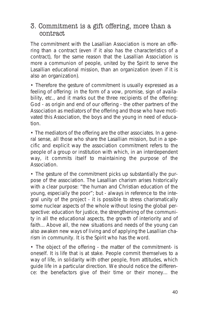#### 3. Commitment is a gift offering, more than a contract

The commitment with the Lasallian Association is more an *offering* than a contract (even if it also has the characteristics of a contract), for the same reason that the Lasallian Association is more a *communion* of people, united by the Spirit to serve the Lasallian educational mission, than an organization (even if it is also an organization).

• Therefore the gesture of commitment is usually expressed as a *feeling of offering*: in the form of a vow, promise, sign of availability, etc., and it marks out the three recipients of the offering: God - as origin and end of our offering - the other partners of the Association as mediators of the offering and those who have motivated this Association, the boys and the young in need of education.

• The mediators of the offering are the other associates. In a general sense, all those who share the Lasallian mission, but in a specific and explicit way the association commitment refers to the people of a group or institution with which, in an interdependent way, it commits itself to maintaining the purpose of the Association.

• The gesture of the commitment picks up substantially the purpose of the association. The Lasallian charism arises historically with a clear *purpose*: "the human and Christian education of the young, especially the poor"; but - always in reference to the integral unity of the project - it is possible to stress charismatically *some nuclear aspects of the whole* without losing the global perspective: education for justice, the strengthening of the community in all the educational aspects, the growth of interiority and of faith... Above all, the new situations and needs of the young can also awaken new ways of living and of applying the Lasallian charism in community. It is the Spirit who has the word.

• The object of the offering - the matter of the commitment- is oneself. It is life that is at stake. People commit themselves to *a way of life*, in solidarity with other people, from *attitudes*, which guide life in a particular direction. We should notice the difference: the benefactors give of their time or their money... the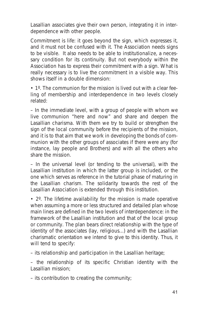Lasallian associates give their own person, integrating it in interdependence with other people.

Commitment is life: it goes beyond the sign, which expresses it, and it must not be confused with it. The Association needs signs to be visible. It also needs to be able to institutionalize, a necessary condition for its continuity. But not everybody within the Association has to express their commitment with a sign. What is really necessary is to live the commitment *in a visible way*. This shows itself in a double dimension:

• 1º. *The communion for the mission* is lived out with a clear feeling of membership and interdependence in two levels closely related:

– In the immediate level, with a group of people with whom we live communion "here and now" and share and deepen the Lasallian charisma. With them we try to build or strengthen the sign of the local community before the recipients of the mission, and it is to that aim that we work in developing the bonds of communion with the other groups of associates if there were any (for instance, lay people and Brothers) and with all the others who share the mission.

– In the universal level (or tending to the universal), with the Lasallian institution in which the latter group is included, or the one which serves as reference in the tutorial phase of maturing in the Lasallian charism. The solidarity towards the rest of the Lasallian Association is extended through this institution.

• 2º. *The lifetime availability for the mission* is made operative when assuming a more or less structured and detailed plan whose main lines are defined in the two levels of interdependence: in the framework of the Lasallian institution and that of the local group or community. The plan bears direct relationship with the type of identity of the associates (lay, religious...) and with the Lasallian charismatic orientation we intend to give to this identity. Thus, it will tend to specify:

– its relationship and participation in the Lasallian heritage;

– the relationship of its specific Christian identity with the Lasallian mission;

– its contribution to creating the community;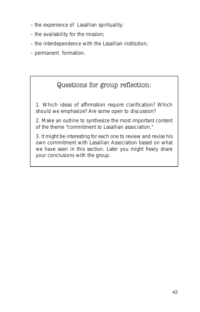- the experience of Lasallian spirituality;
- the availability for the mission;
- the interdependence with the Lasallian institution;
- permanent formation.

### Questions for group reflection:

1. Which ideas of affirmation require clarification? Which should we emphasize? Are some open to discussion?

2. Make an outline to synthesize the most important content of the theme "commitment to Lasallian association."

3. It might be interesting for each one to review and revise his own commitment with Lasallian Association based on what we have seen in this section. Later you might freely share your conclusions with the group.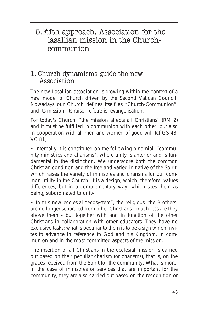# 5.Fifth approach. Association for the lasallian mission in the Churchcommunion

#### 1. Church dynamisms guide the new Association

The new Lasallian association is growing within the context of a new model of Church driven by the Second Vatican Council. Nowadays our Church defines itself as "Church-Communion", and its mission, its *raison d´être* is: evangelisation.

For today's Church, "*the mission affects all Christians*" (RM 2) and it must be fulfilled in *communion* with each other, but also in *cooperation* with all men and women of good will (cf GS 43; VC 81)

• Internally it is constituted on the following binomial: "*community ministries and charisms*", where unity is anterior and is fundamental to the distinction. We underscore both the common Christian condition and the free and varied initiative of the Spirit, which raises the variety of ministries and charisms for our common utility in the Church. It is a design, which, therefore, values differences, but in a complementary way, which sees them as being, subordinated to unity.

• In this new ecclesial "*ecosystem*", the religious -the Brothersare no longer separated from other Christians - much less are they *above them* - but *together with* and *in function of* the other Christians in collaboration with other educators. They have no exclusive tasks: what is peculiar to them is to *be a sign* which invites to advance in reference to God and his Kingdom, in communion and in the most committed aspects of the mission.

The insertion of all Christians in the ecclesial mission is carried out based on their peculiar *charism* (or charisms), that is, on the graces received from the Spirit for the community. What is more, in the case of ministries or services that are important for the community, they are also carried out based on the recognition or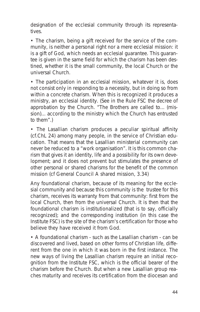designation of the ecclesial community through its representatives.

• The charism, being a gift received for the service of the community, is neither a personal right nor a mere ecclesial mission: it is a gift of God, which needs an ecclesial guarantee. This guarantee is given in the same field for which the charism has been destined, whether it is the small community, the local Church or the universal Church.

• The participation in an ecclesial mission, whatever it is, does not consist only in responding to a necessity, but in doing so from within a concrete charism. When this is recognized it produces a ministry, an ecclesial identity. (See in the Rule FSC the decree of approbation by the Church. "*The Brothers are called to*... *(mission)*... according to the ministry which the Church has entrusted to them".)

• The Lasallian charism produces a peculiar *spiritual affinity* (cf.ChL 24) among many people, in the service of Christian education. That means that the Lasallian ministerial community can never be reduced to a "work organisation". It is this common charism that gives it an identity, life and a possibility for its own development; and it does not prevent but stimulates the presence of other personal or shared charisms for the benefit of the common mission (cf General Council *A shared mission*, 3.34)

Any foundational charism, because of its meaning for the ecclesial community and because this community is the trustee for this charism, receives its warranty from that community: first from the local Church, then from the universal Church. It is then that the foundational charism is *institutionalized* (that is to say, officially recognized); and the corresponding institution (in this case the Institute FSC) is the site of the charism's certification for those who believe they have received it from God.

• A foundational charism - such as the Lasallian charism - can be discovered and lived, based on other forms of Christian life, different from the one in which it was born in the first instance. The new ways of living the Lasallian charism require an initial recognition from the Institute FSC, which is the official bearer of the charism before the Church. But when a new Lasallian group reaches maturity and receives its certification from the diocesan and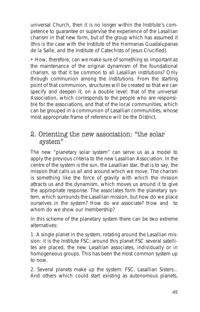universal Church, then it is no longer within the Institute's competence to guarantee or supervise the experience of the Lasallian charism in that new form, but of the group which has assumed it (this is the case with the Institute of the Hermanas Guadalupanas de la Salle, and the Institute of Catechists of Jesus Crucified).

• How, therefore, can we make sure of something so important as the maintenance of the original dynamism of the foundational charism, so that it be common to all Lasallian institutions? Only through *communion* among the institutions. From the starting point of that communion, structures will be created so that we can specify and deepen it, on a double level: that of the universal Association, which corresponds to the people who are responsible for the associations, and that of the local communities, which can be grouped in a communion of Lasallian communities, whose most appropriate frame of reference will be the District.

#### 2. Orienting the new association: "the solar system"

The new "planetary solar system" can serve us as a model to apply the previous criteria to the new Lasallian Association. In the centre of the system is the sun, the Lasallian star, that is to say, *the mission that calls us all* and around which we move. The charism is something like the force of gravity with which the mission attracts us and the dynamism, which moves us around it to give the appropriate response. The associates form the planetary system, which surrounds the Lasallian mission, but how do we place ourselves in the system? How do we associate? How and to whom do we show our membership?

In this scheme of the planetary system there can be *two extreme alternatives:*

1. A single planet in the system, rotating around the Lasallian mission: it is the Institute FSC; around this planet FSC several satellites are placed, the new Lasallian associates, individually or in homogeneous groups. This has been the most common system up to now.

2. Several planets make up the system: FSC, Lasallian Sisters... And others which could start existing as autonomous planets,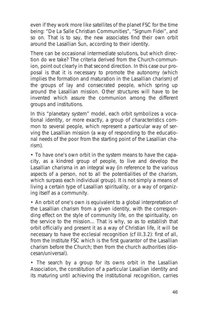even if they work more like satellites of the planet FSC for the time being: "De La Salle Christian Communities", "Signum Fidei", and so on. That is to say, the new associates find their own orbit around the Lasallian Sun, according to their identity.

There can be occasional intermediate solutions, but which direction do we take? The criteria derived from the Church-communion, point out clearly in that second direction. In this case our proposal is that it is necessary to promote the *autonomy* (which implies the formation and maturation in the Lasallian charism) of the groups of lay and consecrated people, which spring up around the Lasallian mission. Other structures will have to be invented which assure the *communion* among the different groups and institutions.

In this "planetary system" model, each orbit symbolizes a *vocational identity*, or more exactly, a group of characteristics common to several people, which represent a particular way of serving the Lasallian mission (a way of responding to the educational needs of the poor from the starting point of the Lasallian charism).

• To have one's own orbit in the system means to have the capacity, as a kindred group of people, to live and develop the Lasallian charisma in an integral way (in reference to the various aspects of a person, not to all the potentialities of the charism, which surpass each individual group). It is not simply a means of living a certain type of Lasallian spirituality, or a way of organizing itself as a community.

• An orbit of one's own is equivalent to *a global interpretation of the Lasallian charism* from a given identity, with the corresponding effect on the style of community life, on the spirituality, on the service to the mission... That is why, so as to establish that orbit officially and present it as a way of Christian life, it will be necessary to have the ecclesial recognition (cf III.3.2): first of all, from the Institute FSC which is the first guarantor of the Lasallian charism before the Church; then from the church authorities (diocesan/universal).

• The search by a group for its owns orbit in the Lasallian Association, the constitution of a particular Lasallian identity and its maturing until achieving the institutional recognition, carries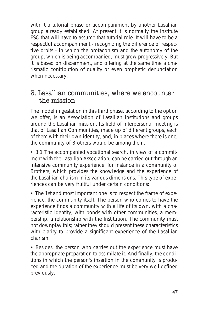with it a *tutorial phase* or accompaniment by another Lasallian group already established. At present it is normally the Institute FSC that will have to assume that tutorial role. It will have to be a respectful accompaniment - recognizing the difference of respective orbits - in which the protagonism and the autonomy of the group, which is being accompanied, must grow progressively. But it is based on discernment, and offering at the same time a charismatic contribution of quality or even prophetic denunciation when necessary.

#### 3. Lasallian communities, where we encounter the mission

The model in gestation in this third phase, according to the option we offer, is an *Association of Lasallian institutions and groups* around the Lasallian mission. Its field of interpersonal meeting is that of *Lasallian Communities*, made up of different groups, each of them with their own identity; and, in places where there is one, the community of Brothers would be among them.

• 3.1 The accompanied vocational search, in view of a commitment with the Lasallian Association, can be carried out through an *intensive community experience*, for instance in a community of Brothers, which provides the knowledge and the experience of the Lasallian charism in its various dimensions. This type of experiences can be very fruitful under certain conditions:

• The 1st and most important one is to respect the frame of experience, the community itself. The person who comes to have the experience finds a community with a life of its own, with a characteristic identity, with bonds with other communities, a membership, a relationship with the Institution. The community must not downplay this; rather they should present these characteristics with clarity to provide a significant experience of the Lasallian charism.

• Besides, the person who carries out the experience must have the appropriate preparation to assimilate it. And finally, the conditions in which the person's insertion in the community is produced and the duration of the experience must be very well defined previously.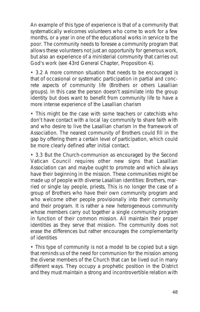An example of this type of experience is that of a community that systematically welcomes volunteers who come to work for a few months, or a year in one of the educational works in service to the poor. The community needs to foresee a community program that allows these volunteers not just an opportunity for generous work, but also an experience of a ministerial community that carries out God's work (see 43rd General Chapter, Proposition 4).

• 3.2 A more common situation that needs to be encouraged is that of occasional or systematic participation in partial and concrete aspects of community life (Brothers or others Lasallian groups). In this case the person doesn't assimilate into the group identity but does want to benefit from community life to have a more intense experience of the Lasallian charism

• This might be the case with some teachers or catechists who don't have contact with a local lay community to share faith with and who desire to live the Lasallian charism in the framework of Association. The nearest community of Brothers could fill in the gap by offering them a certain level of participation, which could be more clearly defined after initial contact.

• 3.3 But the Church-communion as encouraged by the Second Vatican Council requires other new signs that Lasallian Association can and maybe ought to promote and which always have their beginning in the mission. These communities might be made up of people with diverse Lasallian identities: Brothers, married or single lay people, priests, This is no longer the case of a group of Brothers who have their own community program and who welcome other people provisionally into their community and their program. It is rather a *new heterogeneous community* whose members carry out together a *single community program* in function of their common mission. All maintain their proper identities as they serve that mission. The community does not erase the differences but rather encourages the complementarity of identities

• This type of community is not a model to be copied but a sign that reminds us of the need for communion for the mission among the diverse members of the Church that can be lived out in many different ways. They occupy a prophetic position in the District and they must maintain a strong and incontrovertible relation with